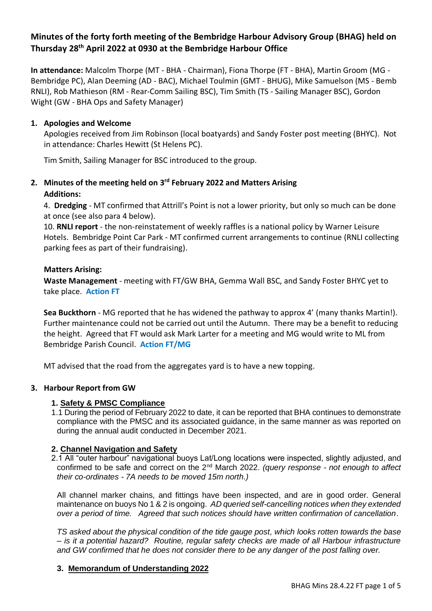# **Minutes of the forty forth meeting of the Bembridge Harbour Advisory Group (BHAG) held on Thursday 28th April 2022 at 0930 at the Bembridge Harbour Office**

**In attendance:** Malcolm Thorpe (MT - BHA - Chairman), Fiona Thorpe (FT - BHA), Martin Groom (MG - Bembridge PC), Alan Deeming (AD - BAC), Michael Toulmin (GMT - BHUG), Mike Samuelson (MS - Bemb RNLI), Rob Mathieson (RM - Rear-Comm Sailing BSC), Tim Smith (TS - Sailing Manager BSC), Gordon Wight (GW - BHA Ops and Safety Manager)

### **1. Apologies and Welcome**

Apologies received from Jim Robinson (local boatyards) and Sandy Foster post meeting (BHYC). Not in attendance: Charles Hewitt (St Helens PC).

Tim Smith, Sailing Manager for BSC introduced to the group.

# **2. Minutes of the meeting held on 3 rd February 2022 and Matters Arising Additions:**

4. **Dredging** - MT confirmed that Attrill's Point is not a lower priority, but only so much can be done at once (see also para 4 below).

10. **RNLI report** - the non-reinstatement of weekly raffles is a national policy by Warner Leisure Hotels. Bembridge Point Car Park - MT confirmed current arrangements to continue (RNLI collecting parking fees as part of their fundraising).

### **Matters Arising:**

**Waste Management** - meeting with FT/GW BHA, Gemma Wall BSC, and Sandy Foster BHYC yet to take place. **Action FT**

**Sea Buckthorn** - MG reported that he has widened the pathway to approx 4' (many thanks Martin!). Further maintenance could not be carried out until the Autumn. There may be a benefit to reducing the height. Agreed that FT would ask Mark Larter for a meeting and MG would write to ML from Bembridge Parish Council. **Action FT/MG**

MT advised that the road from the aggregates yard is to have a new topping.

## **3. Harbour Report from GW**

### **1. Safety & PMSC Compliance**

1.1 During the period of February 2022 to date, it can be reported that BHA continues to demonstrate compliance with the PMSC and its associated guidance, in the same manner as was reported on during the annual audit conducted in December 2021.

### **2. Channel Navigation and Safety**

2.1 All "outer harbour" navigational buoys Lat/Long locations were inspected, slightly adjusted, and confirmed to be safe and correct on the 2nd March 2022. *(query response - not enough to affect their co-ordinates - 7A needs to be moved 15m north.)*

All channel marker chains, and fittings have been inspected, and are in good order. General maintenance on buoys No 1 & 2 is ongoing. *AD queried self-cancelling notices when they extended over a period of time. Agreed that such notices should have written confirmation of cancellation.*

*TS asked about the physical condition of the tide gauge post, which looks rotten towards the base – is it a potential hazard? Routine, regular safety checks are made of all Harbour infrastructure and GW confirmed that he does not consider there to be any danger of the post falling over.*

### **3. Memorandum of Understanding 2022**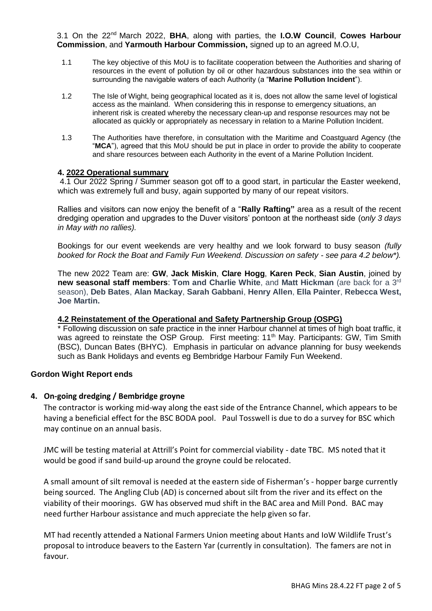3.1 On the 22nd March 2022, **BHA**, along with parties, the **I.O.W Council**, **Cowes Harbour Commission**, and **Yarmouth Harbour Commission,** signed up to an agreed M.O.U,

- 1.1 The key objective of this MoU is to facilitate cooperation between the Authorities and sharing of resources in the event of pollution by oil or other hazardous substances into the sea within or surrounding the navigable waters of each Authority (a "**Marine Pollution Incident**").
- 1.2 The Isle of Wight, being geographical located as it is, does not allow the same level of logistical access as the mainland. When considering this in response to emergency situations, an inherent risk is created whereby the necessary clean-up and response resources may not be allocated as quickly or appropriately as necessary in relation to a Marine Pollution Incident.
- 1.3 The Authorities have therefore, in consultation with the Maritime and Coastguard Agency (the "**MCA**"), agreed that this MoU should be put in place in order to provide the ability to cooperate and share resources between each Authority in the event of a Marine Pollution Incident.

#### **4. 2022 Operational summary**

4.1 Our 2022 Spring / Summer season got off to a good start, in particular the Easter weekend, which was extremely full and busy, again supported by many of our repeat visitors.

Rallies and visitors can now enjoy the benefit of a "**Rally Rafting"** area as a result of the recent dredging operation and upgrades to the Duver visitors' pontoon at the northeast side (o*nly 3 days in May with no rallies).* 

Bookings for our event weekends are very healthy and we look forward to busy season *(fully booked for Rock the Boat and Family Fun Weekend. Discussion on safety - see para 4.2 below\*).* 

The new 2022 Team are: **GW**, **Jack Miskin**, **Clare Hogg**, **Karen Peck**, **Sian Austin**, joined by new seasonal staff members: Tom and Charlie White, and Matt Hickman (are back for a 3<sup>rd</sup> season), **Deb Bates**, **Alan Mackay**, **Sarah Gabbani**, **Henry Allen**, **Ella Painter**, **Rebecca West, Joe Martin.** 

#### **4.2 Reinstatement of the Operational and Safety Partnership Group (OSPG)**

\* Following discussion on safe practice in the inner Harbour channel at times of high boat traffic, it was agreed to reinstate the OSP Group. First meeting: 11<sup>th</sup> May. Participants: GW, Tim Smith (BSC), Duncan Bates (BHYC). Emphasis in particular on advance planning for busy weekends such as Bank Holidays and events eg Bembridge Harbour Family Fun Weekend.

#### **Gordon Wight Report ends**

### **4. On-going dredging / Bembridge groyne**

The contractor is working mid-way along the east side of the Entrance Channel, which appears to be having a beneficial effect for the BSC BODA pool. Paul Tosswell is due to do a survey for BSC which may continue on an annual basis.

JMC will be testing material at Attrill's Point for commercial viability - date TBC. MS noted that it would be good if sand build-up around the groyne could be relocated.

A small amount of silt removal is needed at the eastern side of Fisherman's - hopper barge currently being sourced. The Angling Club (AD) is concerned about silt from the river and its effect on the viability of their moorings. GW has observed mud shift in the BAC area and Mill Pond. BAC may need further Harbour assistance and much appreciate the help given so far.

MT had recently attended a National Farmers Union meeting about Hants and IoW Wildlife Trust's proposal to introduce beavers to the Eastern Yar (currently in consultation). The famers are not in favour.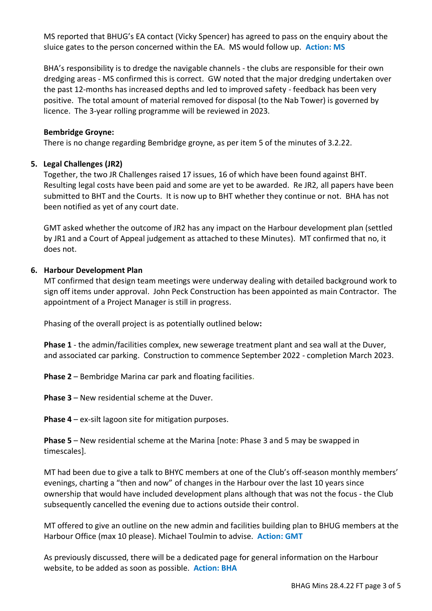MS reported that BHUG's EA contact (Vicky Spencer) has agreed to pass on the enquiry about the sluice gates to the person concerned within the EA. MS would follow up. **Action: MS**

BHA's responsibility is to dredge the navigable channels - the clubs are responsible for their own dredging areas - MS confirmed this is correct. GW noted that the major dredging undertaken over the past 12-months has increased depths and led to improved safety - feedback has been very positive. The total amount of material removed for disposal (to the Nab Tower) is governed by licence. The 3-year rolling programme will be reviewed in 2023.

#### **Bembridge Groyne:**

There is no change regarding Bembridge groyne, as per item 5 of the minutes of 3.2.22.

#### **5. Legal Challenges (JR2)**

Together, the two JR Challenges raised 17 issues, 16 of which have been found against BHT. Resulting legal costs have been paid and some are yet to be awarded. Re JR2, all papers have been submitted to BHT and the Courts. It is now up to BHT whether they continue or not. BHA has not been notified as yet of any court date.

GMT asked whether the outcome of JR2 has any impact on the Harbour development plan (settled by JR1 and a Court of Appeal judgement as attached to these Minutes). MT confirmed that no, it does not.

#### **6. Harbour Development Plan**

MT confirmed that design team meetings were underway dealing with detailed background work to sign off items under approval. John Peck Construction has been appointed as main Contractor. The appointment of a Project Manager is still in progress.

Phasing of the overall project is as potentially outlined below**:**

**Phase 1** - the admin/facilities complex, new sewerage treatment plant and sea wall at the Duver, and associated car parking. Construction to commence September 2022 - completion March 2023.

**Phase 2** – Bembridge Marina car park and floating facilities**.** 

**Phase 3** – New residential scheme at the Duver.

**Phase 4** – ex-silt lagoon site for mitigation purposes.

**Phase 5** – New residential scheme at the Marina [note: Phase 3 and 5 may be swapped in timescales].

MT had been due to give a talk to BHYC members at one of the Club's off-season monthly members' evenings, charting a "then and now" of changes in the Harbour over the last 10 years since ownership that would have included development plans although that was not the focus - the Club subsequently cancelled the evening due to actions outside their control**.**

MT offered to give an outline on the new admin and facilities building plan to BHUG members at the Harbour Office (max 10 please). Michael Toulmin to advise. **Action: GMT**

As previously discussed, there will be a dedicated page for general information on the Harbour website, to be added as soon as possible. **Action: BHA**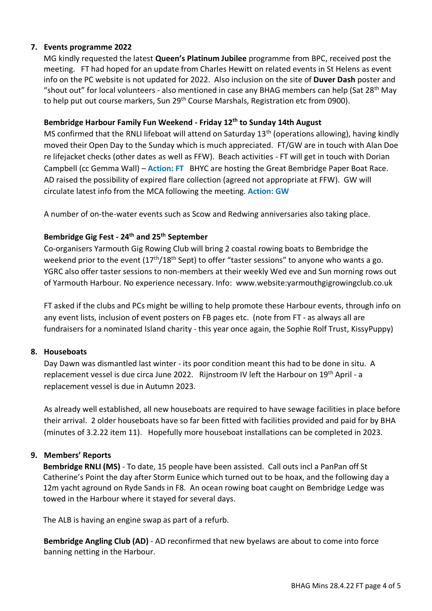## **7. Events programme 2022**

MG kindly requested the latest **Queen's Platinum Jubilee** programme from BPC, received post the meeting. FT had hoped for an update from Charles Hewitt on related events in St Helens as event info on the PC website is not updated for 2022. Also inclusion on the site of **Duver Dash** poster and "shout out" for local volunteers - also mentioned in case any BHAG members can help (Sat 28<sup>th</sup> May to help put out course markers, Sun 29<sup>th</sup> Course Marshals, Registration etc from 0900).

## **Bembridge Harbour Family Fun Weekend - Friday 12th to Sunday 14th August**

MS confirmed that the RNLI lifeboat will attend on Saturday 13<sup>th</sup> (operations allowing), having kindly moved their Open Day to the Sunday which is much appreciated. FT/GW are in touch with Alan Doe re lifejacket checks (other dates as well as FFW). Beach activities - FT will get in touch with Dorian Campbell (cc Gemma Wall) – **Action: FT** BHYC are hosting the Great Bembridge Paper Boat Race. AD raised the possibility of expired flare collection (agreed not appropriate at FFW). GW will circulate latest info from the MCA following the meeting. **Action: GW**

A number of on-the-water events such as Scow and Redwing anniversaries also taking place.

## **Bembridge Gig Fest - 24th and 25th September**

Co-organisers Yarmouth Gig Rowing Club will bring 2 coastal rowing boats to Bembridge the weekend prior to the event (17<sup>th</sup>/18<sup>th</sup> Sept) to offer "taster sessions" to anyone who wants a go. YGRC also offer taster sessions to non-members at their weekly Wed eve and Sun morning rows out of Yarmouth Harbour. No experience necessary. Info: www.website:yarmouthgigrowingclub.co.uk

FT asked if the clubs and PCs might be willing to help promote these Harbour events, through info on any event lists, inclusion of event posters on FB pages etc. (note from FT - as always all are fundraisers for a nominated Island charity - this year once again, the Sophie Rolf Trust, KissyPuppy)

### **8. Houseboats**

Day Dawn was dismantled last winter - its poor condition meant this had to be done in situ. A replacement vessel is due circa June 2022. Rijnstroom IV left the Harbour on 19<sup>th</sup> April - a replacement vessel is due in Autumn 2023.

As already well established, all new houseboats are required to have sewage facilities in place before their arrival. 2 older houseboats have so far been fitted with facilities provided and paid for by BHA (minutes of 3.2.22 item 11). Hopefully more houseboat installations can be completed in 2023.

## **9. Members' Reports**

**Bembridge RNLI (MS)** - To date, 15 people have been assisted. Call outs incl a PanPan off St Catherine's Point the day after Storm Eunice which turned out to be hoax, and the following day a 12m yacht aground on Ryde Sands in F8. An ocean rowing boat caught on Bembridge Ledge was towed in the Harbour where it stayed for several days.

The ALB is having an engine swap as part of a refurb.

**Bembridge Angling Club (AD)** - AD reconfirmed that new byelaws are about to come into force banning netting in the Harbour.